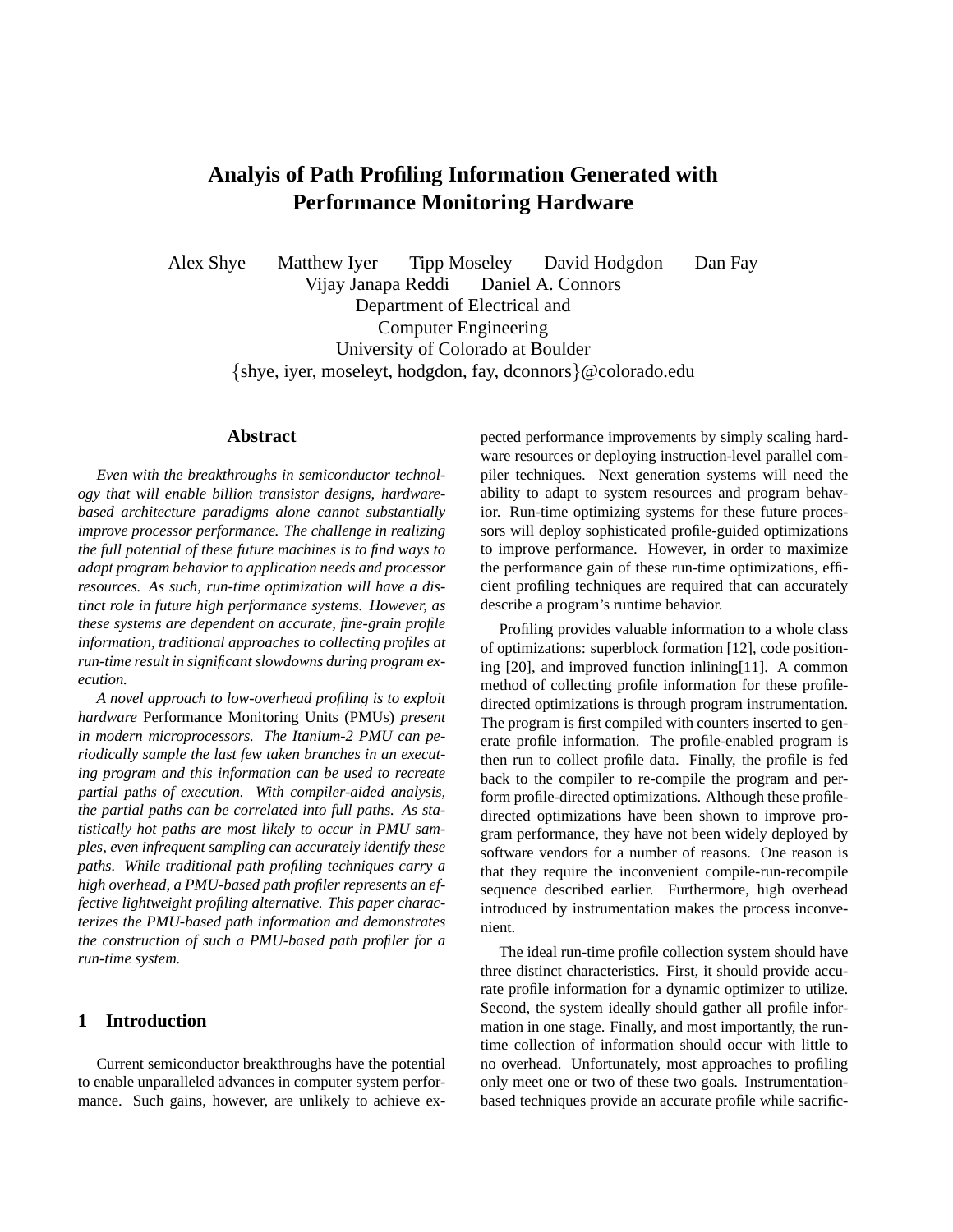# **Analyis of Path Profiling Information Generated with Performance Monitoring Hardware**

Alex Shye Matthew Iyer Tipp Moseley David Hodgdon Dan Fay Vijay Janapa Reddi Daniel A. Connors Department of Electrical and Computer Engineering University of Colorado at Boulder {shye, iyer, moseleyt, hodgdon, fay, dconnors}@colorado.edu

# **Abstract**

*Even with the breakthroughs in semiconductor technology that will enable billion transistor designs, hardwarebased architecture paradigms alone cannot substantially improve processor performance. The challenge in realizing the full potential of these future machines is to find ways to adapt program behavior to application needs and processor resources. As such, run-time optimization will have a distinct role in future high performance systems. However, as these systems are dependent on accurate, fine-grain profile information, traditional approaches to collecting profiles at run-time result in significant slowdowns during program execution.*

*A novel approach to low-overhead profiling is to exploit hardware* Performance Monitoring Units (PMUs) *present in modern microprocessors. The Itanium-2 PMU can periodically sample the last few taken branches in an executing program and this information can be used to recreate* partial paths *of execution. With compiler-aided analysis, the partial paths can be correlated into full paths. As statistically hot paths are most likely to occur in PMU samples, even infrequent sampling can accurately identify these paths. While traditional path profiling techniques carry a high overhead, a PMU-based path profiler represents an effective lightweight profiling alternative. This paper characterizes the PMU-based path information and demonstrates the construction of such a PMU-based path profiler for a run-time system.*

# **1 Introduction**

Current semiconductor breakthroughs have the potential to enable unparalleled advances in computer system performance. Such gains, however, are unlikely to achieve expected performance improvements by simply scaling hardware resources or deploying instruction-level parallel compiler techniques. Next generation systems will need the ability to adapt to system resources and program behavior. Run-time optimizing systems for these future processors will deploy sophisticated profile-guided optimizations to improve performance. However, in order to maximize the performance gain of these run-time optimizations, efficient profiling techniques are required that can accurately describe a program's runtime behavior.

Profiling provides valuable information to a whole class of optimizations: superblock formation [12], code positioning [20], and improved function inlining[11]. A common method of collecting profile information for these profiledirected optimizations is through program instrumentation. The program is first compiled with counters inserted to generate profile information. The profile-enabled program is then run to collect profile data. Finally, the profile is fed back to the compiler to re-compile the program and perform profile-directed optimizations. Although these profiledirected optimizations have been shown to improve program performance, they have not been widely deployed by software vendors for a number of reasons. One reason is that they require the inconvenient compile-run-recompile sequence described earlier. Furthermore, high overhead introduced by instrumentation makes the process inconvenient.

The ideal run-time profile collection system should have three distinct characteristics. First, it should provide accurate profile information for a dynamic optimizer to utilize. Second, the system ideally should gather all profile information in one stage. Finally, and most importantly, the runtime collection of information should occur with little to no overhead. Unfortunately, most approaches to profiling only meet one or two of these two goals. Instrumentationbased techniques provide an accurate profile while sacrific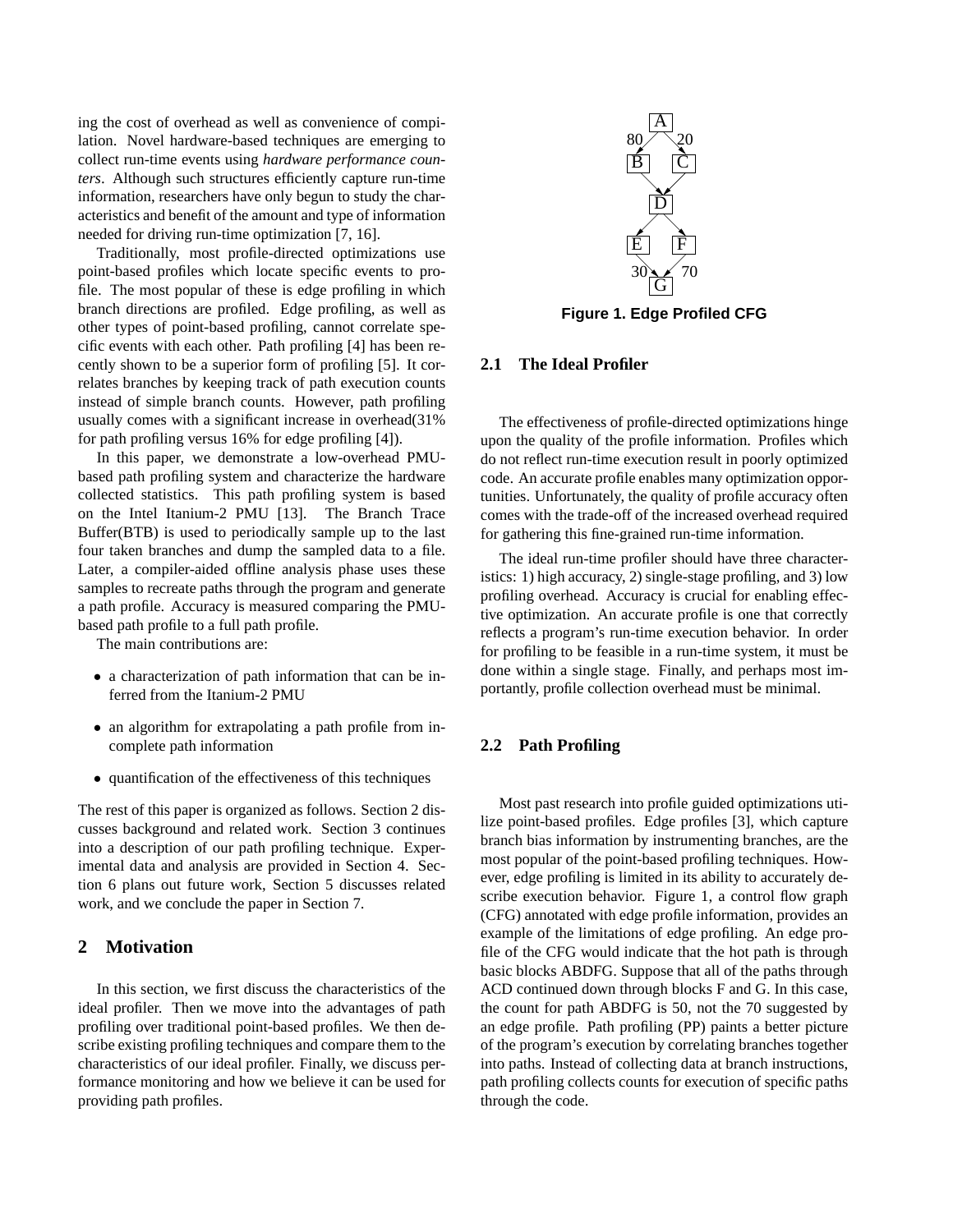ing the cost of overhead as well as convenience of compilation. Novel hardware-based techniques are emerging to collect run-time events using *hardware performance counters*. Although such structures efficiently capture run-time information, researchers have only begun to study the characteristics and benefit of the amount and type of information needed for driving run-time optimization [7, 16].

Traditionally, most profile-directed optimizations use point-based profiles which locate specific events to profile. The most popular of these is edge profiling in which branch directions are profiled. Edge profiling, as well as other types of point-based profiling, cannot correlate specific events with each other. Path profiling [4] has been recently shown to be a superior form of profiling [5]. It correlates branches by keeping track of path execution counts instead of simple branch counts. However, path profiling usually comes with a significant increase in overhead(31% for path profiling versus 16% for edge profiling [4]).

In this paper, we demonstrate a low-overhead PMUbased path profiling system and characterize the hardware collected statistics. This path profiling system is based on the Intel Itanium-2 PMU [13]. The Branch Trace Buffer(BTB) is used to periodically sample up to the last four taken branches and dump the sampled data to a file. Later, a compiler-aided offline analysis phase uses these samples to recreate paths through the program and generate a path profile. Accuracy is measured comparing the PMUbased path profile to a full path profile.

The main contributions are:

- a characterization of path information that can be inferred from the Itanium-2 PMU
- an algorithm for extrapolating a path profile from incomplete path information
- quantification of the effectiveness of this techniques

The rest of this paper is organized as follows. Section 2 discusses background and related work. Section 3 continues into a description of our path profiling technique. Experimental data and analysis are provided in Section 4. Section 6 plans out future work, Section 5 discusses related work, and we conclude the paper in Section 7.

# **2 Motivation**

In this section, we first discuss the characteristics of the ideal profiler. Then we move into the advantages of path profiling over traditional point-based profiles. We then describe existing profiling techniques and compare them to the characteristics of our ideal profiler. Finally, we discuss performance monitoring and how we believe it can be used for providing path profiles.



**Figure 1. Edge Profiled CFG**

#### **2.1 The Ideal Profiler**

The effectiveness of profile-directed optimizations hinge upon the quality of the profile information. Profiles which do not reflect run-time execution result in poorly optimized code. An accurate profile enables many optimization opportunities. Unfortunately, the quality of profile accuracy often comes with the trade-off of the increased overhead required for gathering this fine-grained run-time information.

The ideal run-time profiler should have three characteristics: 1) high accuracy, 2) single-stage profiling, and 3) low profiling overhead. Accuracy is crucial for enabling effective optimization. An accurate profile is one that correctly reflects a program's run-time execution behavior. In order for profiling to be feasible in a run-time system, it must be done within a single stage. Finally, and perhaps most importantly, profile collection overhead must be minimal.

#### **2.2 Path Profiling**

Most past research into profile guided optimizations utilize point-based profiles. Edge profiles [3], which capture branch bias information by instrumenting branches, are the most popular of the point-based profiling techniques. However, edge profiling is limited in its ability to accurately describe execution behavior. Figure 1, a control flow graph (CFG) annotated with edge profile information, provides an example of the limitations of edge profiling. An edge profile of the CFG would indicate that the hot path is through basic blocks ABDFG. Suppose that all of the paths through ACD continued down through blocks F and G. In this case, the count for path ABDFG is 50, not the 70 suggested by an edge profile. Path profiling (PP) paints a better picture of the program's execution by correlating branches together into paths. Instead of collecting data at branch instructions, path profiling collects counts for execution of specific paths through the code.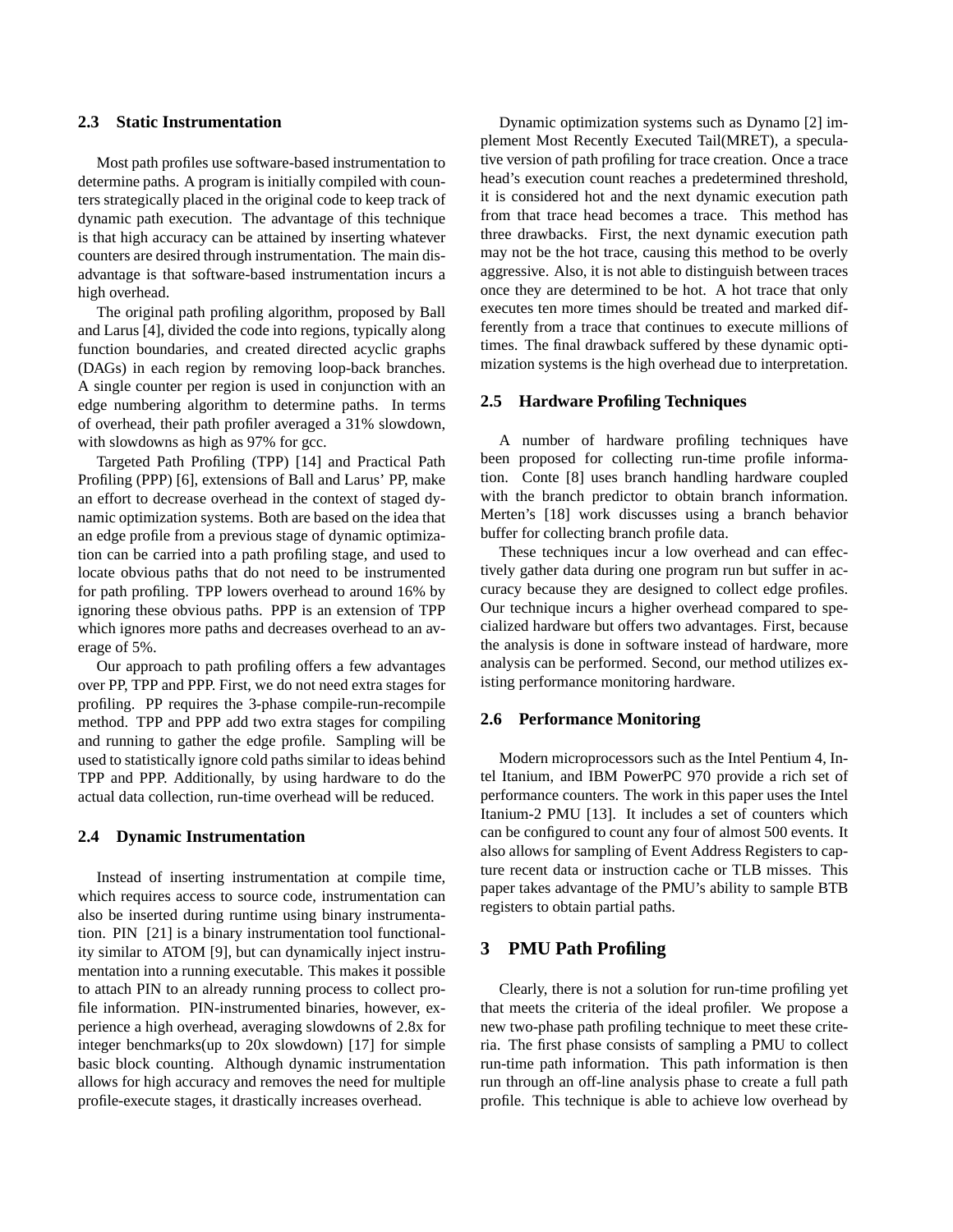#### **2.3 Static Instrumentation**

Most path profiles use software-based instrumentation to determine paths. A program is initially compiled with counters strategically placed in the original code to keep track of dynamic path execution. The advantage of this technique is that high accuracy can be attained by inserting whatever counters are desired through instrumentation. The main disadvantage is that software-based instrumentation incurs a high overhead.

The original path profiling algorithm, proposed by Ball and Larus [4], divided the code into regions, typically along function boundaries, and created directed acyclic graphs (DAGs) in each region by removing loop-back branches. A single counter per region is used in conjunction with an edge numbering algorithm to determine paths. In terms of overhead, their path profiler averaged a 31% slowdown, with slowdowns as high as 97% for gcc.

Targeted Path Profiling (TPP) [14] and Practical Path Profiling (PPP) [6], extensions of Ball and Larus' PP, make an effort to decrease overhead in the context of staged dynamic optimization systems. Both are based on the idea that an edge profile from a previous stage of dynamic optimization can be carried into a path profiling stage, and used to locate obvious paths that do not need to be instrumented for path profiling. TPP lowers overhead to around 16% by ignoring these obvious paths. PPP is an extension of TPP which ignores more paths and decreases overhead to an average of 5%.

Our approach to path profiling offers a few advantages over PP, TPP and PPP. First, we do not need extra stages for profiling. PP requires the 3-phase compile-run-recompile method. TPP and PPP add two extra stages for compiling and running to gather the edge profile. Sampling will be used to statistically ignore cold paths similar to ideas behind TPP and PPP. Additionally, by using hardware to do the actual data collection, run-time overhead will be reduced.

#### **2.4 Dynamic Instrumentation**

Instead of inserting instrumentation at compile time, which requires access to source code, instrumentation can also be inserted during runtime using binary instrumentation. PIN [21] is a binary instrumentation tool functionality similar to ATOM [9], but can dynamically inject instrumentation into a running executable. This makes it possible to attach PIN to an already running process to collect profile information. PIN-instrumented binaries, however, experience a high overhead, averaging slowdowns of 2.8x for integer benchmarks(up to 20x slowdown) [17] for simple basic block counting. Although dynamic instrumentation allows for high accuracy and removes the need for multiple profile-execute stages, it drastically increases overhead.

Dynamic optimization systems such as Dynamo [2] implement Most Recently Executed Tail(MRET), a speculative version of path profiling for trace creation. Once a trace head's execution count reaches a predetermined threshold, it is considered hot and the next dynamic execution path from that trace head becomes a trace. This method has three drawbacks. First, the next dynamic execution path may not be the hot trace, causing this method to be overly aggressive. Also, it is not able to distinguish between traces once they are determined to be hot. A hot trace that only executes ten more times should be treated and marked differently from a trace that continues to execute millions of times. The final drawback suffered by these dynamic optimization systems is the high overhead due to interpretation.

#### **2.5 Hardware Profiling Techniques**

A number of hardware profiling techniques have been proposed for collecting run-time profile information. Conte [8] uses branch handling hardware coupled with the branch predictor to obtain branch information. Merten's [18] work discusses using a branch behavior buffer for collecting branch profile data.

These techniques incur a low overhead and can effectively gather data during one program run but suffer in accuracy because they are designed to collect edge profiles. Our technique incurs a higher overhead compared to specialized hardware but offers two advantages. First, because the analysis is done in software instead of hardware, more analysis can be performed. Second, our method utilizes existing performance monitoring hardware.

#### **2.6 Performance Monitoring**

Modern microprocessors such as the Intel Pentium 4, Intel Itanium, and IBM PowerPC 970 provide a rich set of performance counters. The work in this paper uses the Intel Itanium-2 PMU [13]. It includes a set of counters which can be configured to count any four of almost 500 events. It also allows for sampling of Event Address Registers to capture recent data or instruction cache or TLB misses. This paper takes advantage of the PMU's ability to sample BTB registers to obtain partial paths.

# **3 PMU Path Profiling**

Clearly, there is not a solution for run-time profiling yet that meets the criteria of the ideal profiler. We propose a new two-phase path profiling technique to meet these criteria. The first phase consists of sampling a PMU to collect run-time path information. This path information is then run through an off-line analysis phase to create a full path profile. This technique is able to achieve low overhead by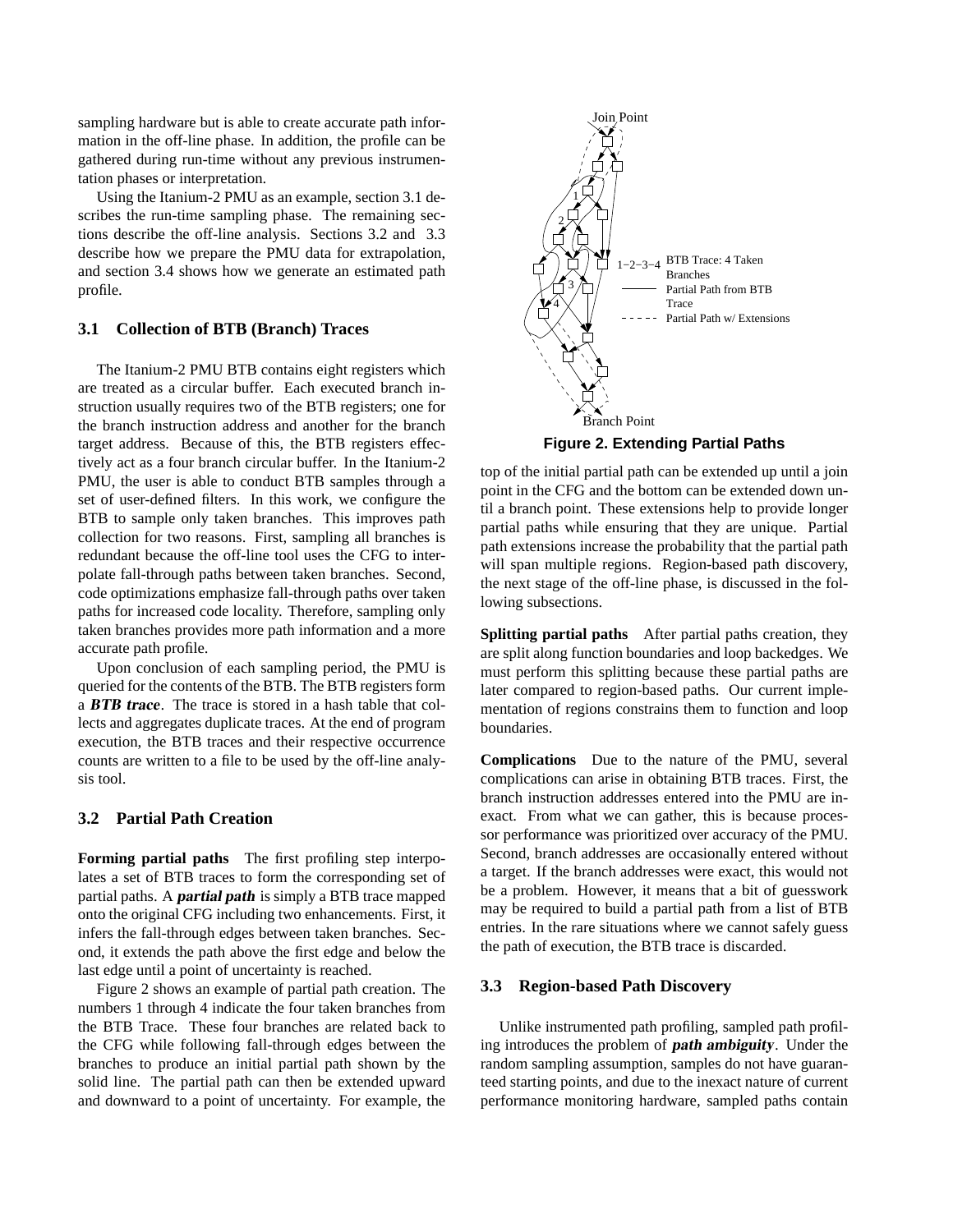sampling hardware but is able to create accurate path information in the off-line phase. In addition, the profile can be gathered during run-time without any previous instrumentation phases or interpretation.

Using the Itanium-2 PMU as an example, section 3.1 describes the run-time sampling phase. The remaining sections describe the off-line analysis. Sections 3.2 and 3.3 describe how we prepare the PMU data for extrapolation, and section 3.4 shows how we generate an estimated path profile.

#### **3.1 Collection of BTB (Branch) Traces**

The Itanium-2 PMU BTB contains eight registers which are treated as a circular buffer. Each executed branch instruction usually requires two of the BTB registers; one for the branch instruction address and another for the branch target address. Because of this, the BTB registers effectively act as a four branch circular buffer. In the Itanium-2 PMU, the user is able to conduct BTB samples through a set of user-defined filters. In this work, we configure the BTB to sample only taken branches. This improves path collection for two reasons. First, sampling all branches is redundant because the off-line tool uses the CFG to interpolate fall-through paths between taken branches. Second, code optimizations emphasize fall-through paths over taken paths for increased code locality. Therefore, sampling only taken branches provides more path information and a more accurate path profile.

Upon conclusion of each sampling period, the PMU is queried for the contents of the BTB. The BTB registers form a BTB trace. The trace is stored in a hash table that collects and aggregates duplicate traces. At the end of program execution, the BTB traces and their respective occurrence counts are written to a file to be used by the off-line analysis tool.

#### **3.2 Partial Path Creation**

**Forming partial paths** The first profiling step interpolates a set of BTB traces to form the corresponding set of partial paths. A **partial path** is simply a BTB trace mapped onto the original CFG including two enhancements. First, it infers the fall-through edges between taken branches. Second, it extends the path above the first edge and below the last edge until a point of uncertainty is reached.

Figure 2 shows an example of partial path creation. The numbers 1 through 4 indicate the four taken branches from the BTB Trace. These four branches are related back to the CFG while following fall-through edges between the branches to produce an initial partial path shown by the solid line. The partial path can then be extended upward and downward to a point of uncertainty. For example, the



**Figure 2. Extending Partial Paths**

top of the initial partial path can be extended up until a join point in the CFG and the bottom can be extended down until a branch point. These extensions help to provide longer partial paths while ensuring that they are unique. Partial path extensions increase the probability that the partial path will span multiple regions. Region-based path discovery, the next stage of the off-line phase, is discussed in the following subsections.

**Splitting partial paths** After partial paths creation, they are split along function boundaries and loop backedges. We must perform this splitting because these partial paths are later compared to region-based paths. Our current implementation of regions constrains them to function and loop boundaries.

**Complications** Due to the nature of the PMU, several complications can arise in obtaining BTB traces. First, the branch instruction addresses entered into the PMU are inexact. From what we can gather, this is because processor performance was prioritized over accuracy of the PMU. Second, branch addresses are occasionally entered without a target. If the branch addresses were exact, this would not be a problem. However, it means that a bit of guesswork may be required to build a partial path from a list of BTB entries. In the rare situations where we cannot safely guess the path of execution, the BTB trace is discarded.

#### **3.3 Region-based Path Discovery**

Unlike instrumented path profiling, sampled path profiling introduces the problem of **path ambiguity**. Under the random sampling assumption, samples do not have guaranteed starting points, and due to the inexact nature of current performance monitoring hardware, sampled paths contain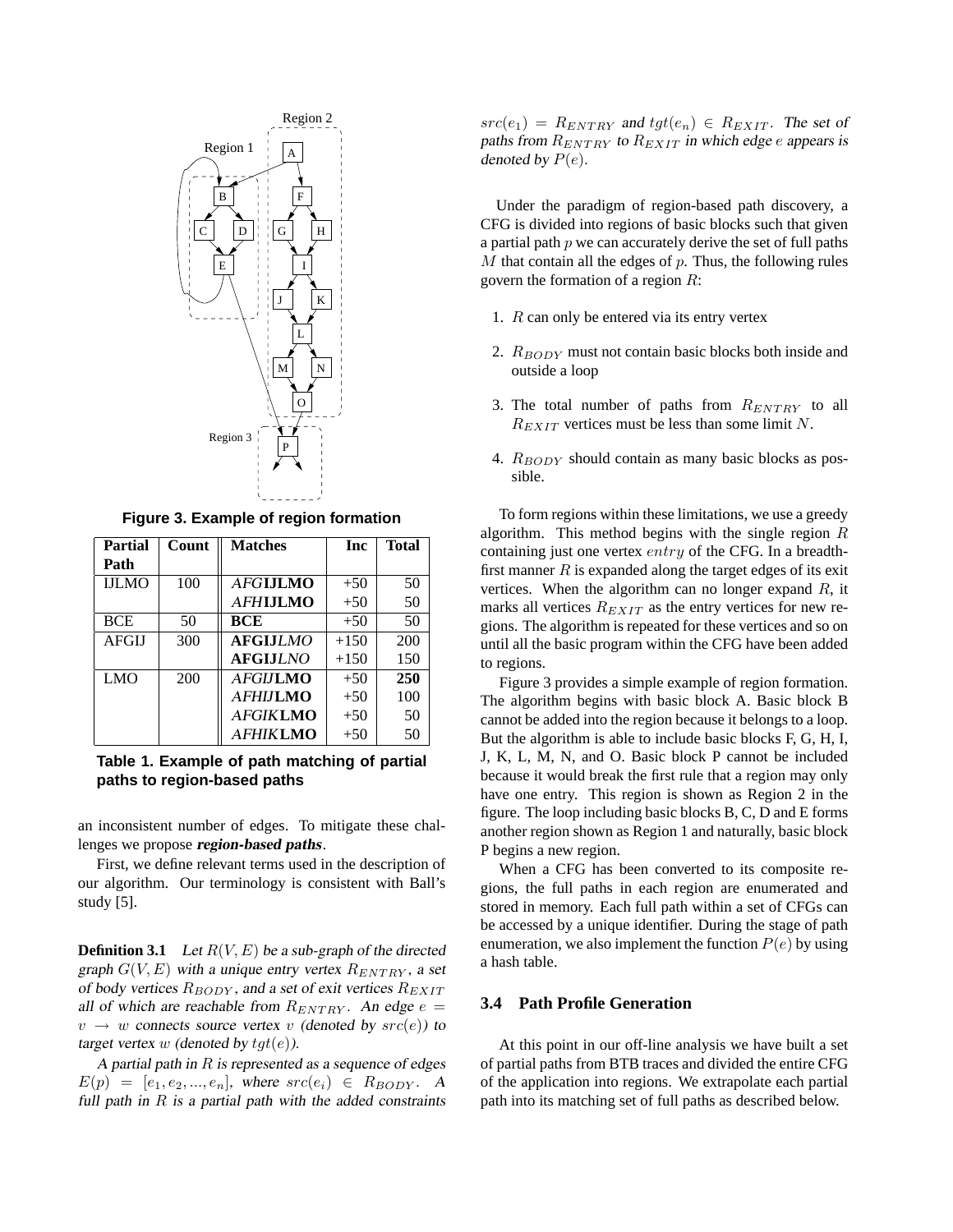

**Figure 3. Example of region formation**

| <b>Partial</b> | Count | <b>Matches</b>  | Inc    | <b>Total</b> |
|----------------|-------|-----------------|--------|--------------|
| Path           |       |                 |        |              |
| <b>IJLMO</b>   | 100   | <b>AFGIJLMO</b> | $+50$  | 50           |
|                |       | <b>AFHIJLMO</b> | $+50$  | 50           |
| <b>BCE</b>     | 50    | <b>BCE</b>      | $+50$  | 50           |
| <b>AFGIJ</b>   | 300   | <b>AFGIJLMO</b> | $+150$ | 200          |
|                |       | <b>AFGLILNO</b> | $+150$ | 150          |
| LMO            | 200   | <b>AFGIJLMO</b> | $+50$  | 250          |
|                |       | <b>AFHIJLMO</b> | $+50$  | 100          |
|                |       | <b>AFGIKLMO</b> | $+50$  | 50           |
|                |       | <b>AFHIKLMO</b> | $+50$  | 50           |

**Table 1. Example of path matching of partial paths to region-based paths**

an inconsistent number of edges. To mitigate these challenges we propose region-based paths.

First, we define relevant terms used in the description of our algorithm. Our terminology is consistent with Ball's study [5].

**Definition 3.1** Let  $R(V, E)$  be a sub-graph of the directed graph  $G(V, E)$  with a unique entry vertex  $R_{ENTRY}$ , a set of body vertices  $R_{BODY}$ , and a set of exit vertices  $R_{EXIT}$ all of which are reachable from  $R_{ENTRY}$ . An edge  $e =$  $v \rightarrow w$  connects source vertex v (denoted by  $src(e)$ ) to target vertex  $w$  (denoted by  $tgt(e)$ ).

A partial path in  $R$  is represented as a sequence of edges  $E(p) = [e_1, e_2, ..., e_n],$  where  $src(e_i) \in R_{BODY}.$  A full path in  $R$  is a partial path with the added constraints  $src(e_1) = R_{ENTRY}$  and  $tgt(e_n) \in R_{EXT}$ . The set of paths from  $R_{ENTRY}$  to  $R_{EXIT}$  in which edge e appears is denoted by  $P(e)$ .

Under the paradigm of region-based path discovery, a CFG is divided into regions of basic blocks such that given a partial path  $p$  we can accurately derive the set of full paths  $M$  that contain all the edges of  $p$ . Thus, the following rules govern the formation of a region R:

- 1. R can only be entered via its entry vertex
- 2.  $R_{BODY}$  must not contain basic blocks both inside and outside a loop
- 3. The total number of paths from  $R_{ENTRY}$  to all  $R_{EXIT}$  vertices must be less than some limit N.
- 4.  $R_{BODY}$  should contain as many basic blocks as possible.

To form regions within these limitations, we use a greedy algorithm. This method begins with the single region  $R$ containing just one vertex entry of the CFG. In a breadthfirst manner  $R$  is expanded along the target edges of its exit vertices. When the algorithm can no longer expand  $R$ , it marks all vertices  $R_{EXIT}$  as the entry vertices for new regions. The algorithm is repeated for these vertices and so on until all the basic program within the CFG have been added to regions.

Figure 3 provides a simple example of region formation. The algorithm begins with basic block A. Basic block B cannot be added into the region because it belongs to a loop. But the algorithm is able to include basic blocks F, G, H, I, J, K, L, M, N, and O. Basic block P cannot be included because it would break the first rule that a region may only have one entry. This region is shown as Region 2 in the figure. The loop including basic blocks B, C, D and E forms another region shown as Region 1 and naturally, basic block P begins a new region.

When a CFG has been converted to its composite regions, the full paths in each region are enumerated and stored in memory. Each full path within a set of CFGs can be accessed by a unique identifier. During the stage of path enumeration, we also implement the function  $P(e)$  by using a hash table.

## **3.4 Path Profile Generation**

At this point in our off-line analysis we have built a set of partial paths from BTB traces and divided the entire CFG of the application into regions. We extrapolate each partial path into its matching set of full paths as described below.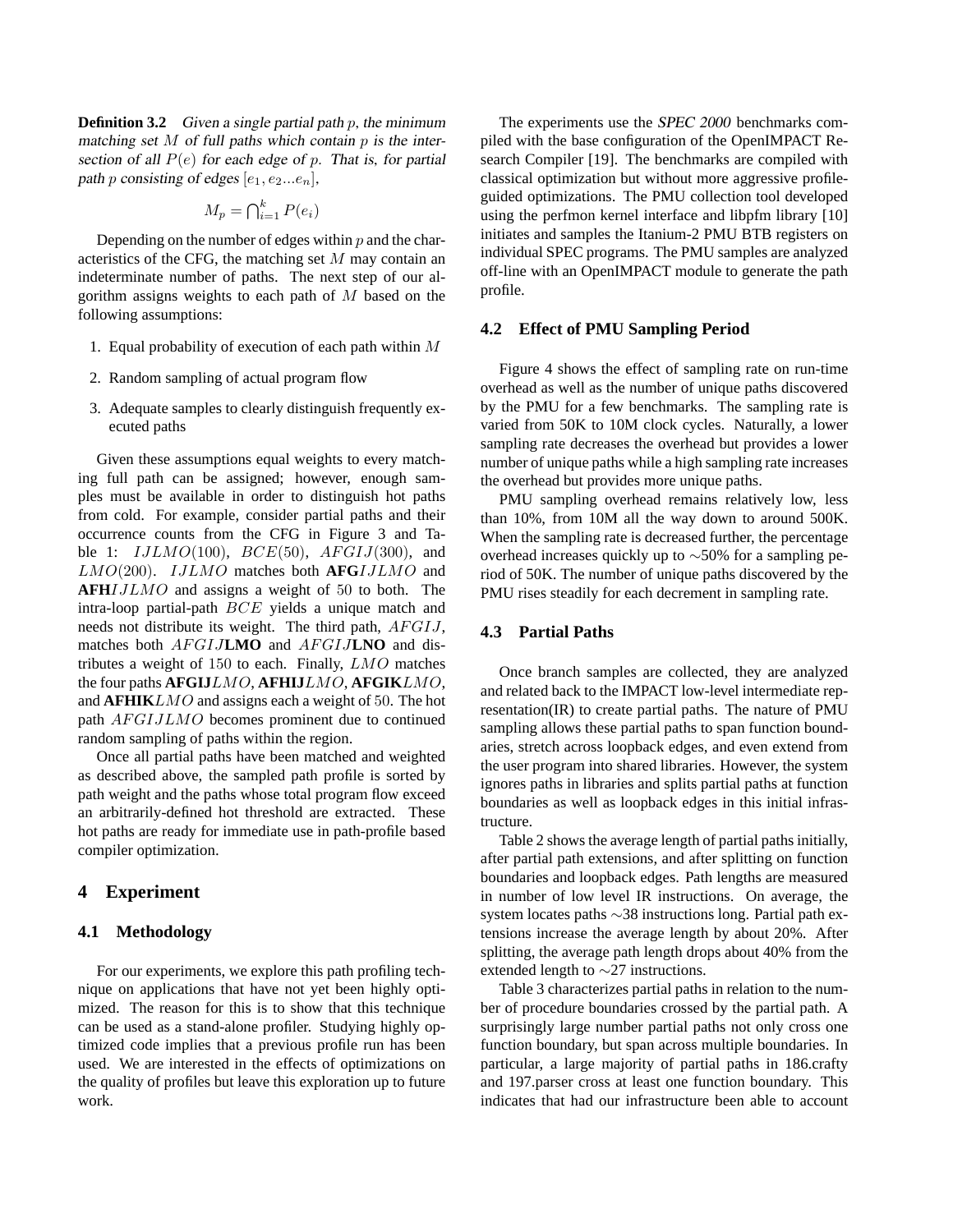**Definition 3.2** Given a single partial path p, the minimum matching set  $M$  of full paths which contain  $p$  is the intersection of all  $P(e)$  for each edge of p. That is, for partial path p consisting of edges  $[e_1, e_2...e_n]$ ,

$$
M_p = \bigcap_{i=1}^k P(e_i)
$$

Depending on the number of edges within  $p$  and the characteristics of the CFG, the matching set M may contain an indeterminate number of paths. The next step of our algorithm assigns weights to each path of  $M$  based on the following assumptions:

- 1. Equal probability of execution of each path within M
- 2. Random sampling of actual program flow
- 3. Adequate samples to clearly distinguish frequently executed paths

Given these assumptions equal weights to every matching full path can be assigned; however, enough samples must be available in order to distinguish hot paths from cold. For example, consider partial paths and their occurrence counts from the CFG in Figure 3 and Table 1:  $IJLMO(100)$ ,  $BCE(50)$ ,  $AFGIJ(300)$ , and LMO(200). IJLMO matches both **AFG**IJLMO and **AFH**IJLMO and assigns a weight of 50 to both. The intra-loop partial-path BCE yields a unique match and needs not distribute its weight. The third path, AFGIJ, matches both AF GIJ**LMO** and AF GIJ**LNO** and distributes a weight of 150 to each. Finally, LMO matches the four paths **AFGIJ**LMO, **AFHIJ**LMO, **AFGIK**LMO, and **AFHIK**LMO and assigns each a weight of 50. The hot path AFGIJLMO becomes prominent due to continued random sampling of paths within the region.

Once all partial paths have been matched and weighted as described above, the sampled path profile is sorted by path weight and the paths whose total program flow exceed an arbitrarily-defined hot threshold are extracted. These hot paths are ready for immediate use in path-profile based compiler optimization.

# **4 Experiment**

## **4.1 Methodology**

For our experiments, we explore this path profiling technique on applications that have not yet been highly optimized. The reason for this is to show that this technique can be used as a stand-alone profiler. Studying highly optimized code implies that a previous profile run has been used. We are interested in the effects of optimizations on the quality of profiles but leave this exploration up to future work.

The experiments use the SPEC 2000 benchmarks compiled with the base configuration of the OpenIMPACT Research Compiler [19]. The benchmarks are compiled with classical optimization but without more aggressive profileguided optimizations. The PMU collection tool developed using the perfmon kernel interface and libpfm library [10] initiates and samples the Itanium-2 PMU BTB registers on individual SPEC programs. The PMU samples are analyzed off-line with an OpenIMPACT module to generate the path profile.

#### **4.2 Effect of PMU Sampling Period**

Figure 4 shows the effect of sampling rate on run-time overhead as well as the number of unique paths discovered by the PMU for a few benchmarks. The sampling rate is varied from 50K to 10M clock cycles. Naturally, a lower sampling rate decreases the overhead but provides a lower number of unique paths while a high sampling rate increases the overhead but provides more unique paths.

PMU sampling overhead remains relatively low, less than 10%, from 10M all the way down to around 500K. When the sampling rate is decreased further, the percentage overhead increases quickly up to ∼50% for a sampling period of 50K. The number of unique paths discovered by the PMU rises steadily for each decrement in sampling rate.

# **4.3 Partial Paths**

Once branch samples are collected, they are analyzed and related back to the IMPACT low-level intermediate representation(IR) to create partial paths. The nature of PMU sampling allows these partial paths to span function boundaries, stretch across loopback edges, and even extend from the user program into shared libraries. However, the system ignores paths in libraries and splits partial paths at function boundaries as well as loopback edges in this initial infrastructure.

Table 2 shows the average length of partial paths initially, after partial path extensions, and after splitting on function boundaries and loopback edges. Path lengths are measured in number of low level IR instructions. On average, the system locates paths ∼38 instructions long. Partial path extensions increase the average length by about 20%. After splitting, the average path length drops about 40% from the extended length to ∼27 instructions.

Table 3 characterizes partial paths in relation to the number of procedure boundaries crossed by the partial path. A surprisingly large number partial paths not only cross one function boundary, but span across multiple boundaries. In particular, a large majority of partial paths in 186.crafty and 197.parser cross at least one function boundary. This indicates that had our infrastructure been able to account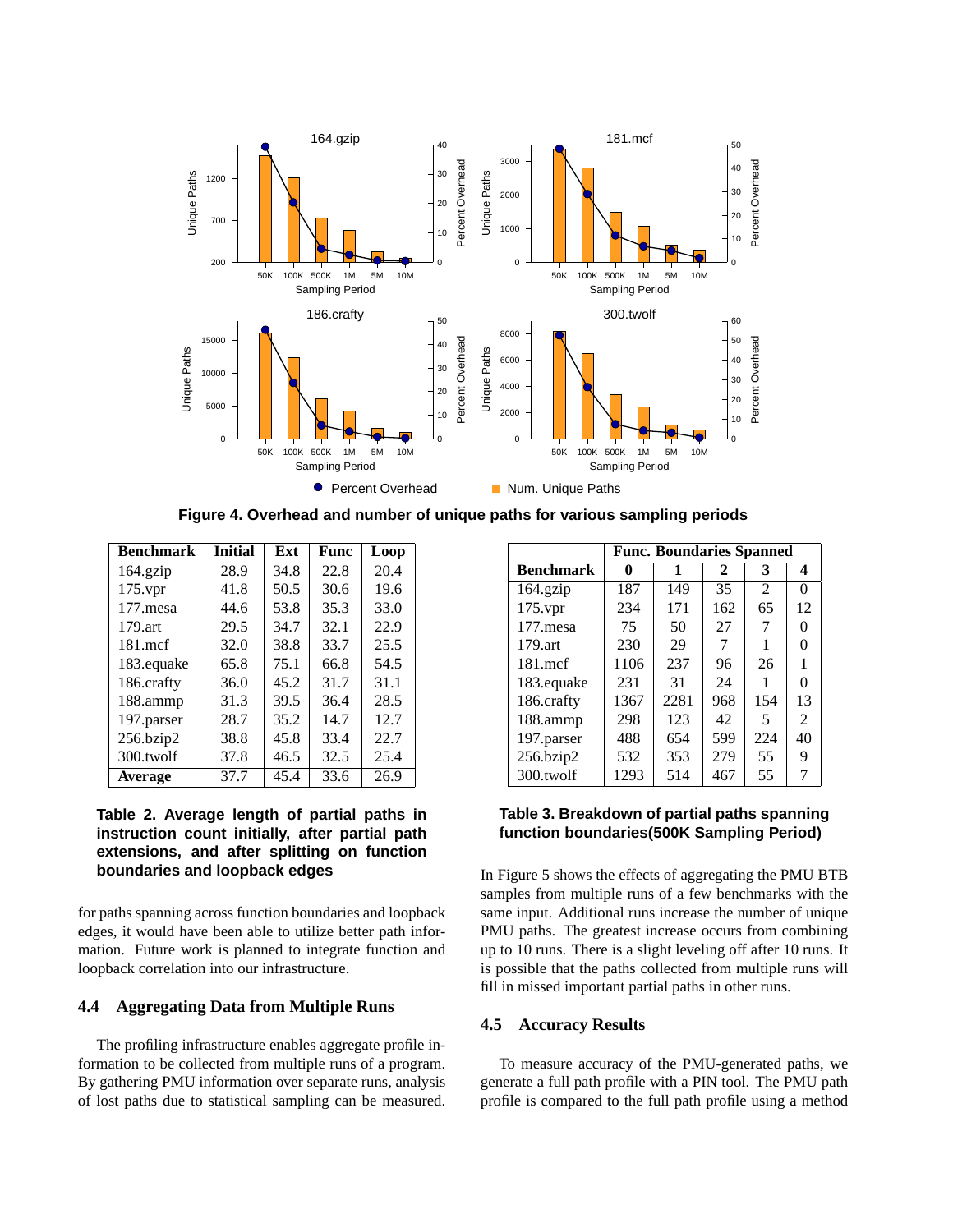

**Figure 4. Overhead and number of unique paths for various sampling periods**

| <b>Benchmark</b> | <b>Initial</b> | Ext  | <b>Func</b> | Loop |
|------------------|----------------|------|-------------|------|
| $164$ .gzip      | 28.9           | 34.8 | 22.8        | 20.4 |
| $175$ .vpr       | 41.8           | 50.5 | 30.6        | 19.6 |
| $177$ . mesa     | 44.6           | 53.8 | 35.3        | 33.0 |
| $179.$ art       | 29.5           | 34.7 | 32.1        | 22.9 |
| 181.mcf          | 32.0           | 38.8 | 33.7        | 25.5 |
| 183.equake       | 65.8           | 75.1 | 66.8        | 54.5 |
| 186.crafty       | 36.0           | 45.2 | 31.7        | 31.1 |
| 188.ammp         | 31.3           | 39.5 | 36.4        | 28.5 |
| 197.parser       | 28.7           | 35.2 | 14.7        | 12.7 |
| 256.bzip2        | 38.8           | 45.8 | 33.4        | 22.7 |
| 300.twolf        | 37.8           | 46.5 | 32.5        | 25.4 |
| <b>Average</b>   | 37.7           | 45.4 | 33.6        | 26.9 |

# **Table 2. Average length of partial paths in instruction count initially, after partial path extensions, and after splitting on function boundaries and loopback edges**

for paths spanning across function boundaries and loopback edges, it would have been able to utilize better path information. Future work is planned to integrate function and loopback correlation into our infrastructure.

# **4.4 Aggregating Data from Multiple Runs**

The profiling infrastructure enables aggregate profile information to be collected from multiple runs of a program. By gathering PMU information over separate runs, analysis of lost paths due to statistical sampling can be measured.

|                  | <b>Func. Boundaries Spanned</b> |      |     |     |                |
|------------------|---------------------------------|------|-----|-----|----------------|
| <b>Benchmark</b> | 0                               | 1    | 2   | 3   | 4              |
| $164$ .gzip      | 187                             | 149  | 35  | 2   | 0              |
| $175$ .vpr       | 234                             | 171  | 162 | 65  | 12             |
| $177$ .mesa      | 75                              | 50   | 27  | 7   | 0              |
| $179.$ art       | 230                             | 29   | 7   |     | 0              |
| $181$ .mcf       | 1106                            | 237  | 96  | 26  | 1              |
| 183.equake       | 231                             | 31   | 24  |     | 0              |
| 186.crafty       | 1367                            | 2281 | 968 | 154 | 13             |
| 188.ammp         | 298                             | 123  | 42  | 5   | $\mathfrak{D}$ |
| 197.parser       | 488                             | 654  | 599 | 224 | 40             |
| 256.bzip2        | 532                             | 353  | 279 | 55  | 9              |
| 300.twolf        | 1293                            | 514  | 467 | 55  | 7              |

## **Table 3. Breakdown of partial paths spanning function boundaries(500K Sampling Period)**

In Figure 5 shows the effects of aggregating the PMU BTB samples from multiple runs of a few benchmarks with the same input. Additional runs increase the number of unique PMU paths. The greatest increase occurs from combining up to 10 runs. There is a slight leveling off after 10 runs. It is possible that the paths collected from multiple runs will fill in missed important partial paths in other runs.

# **4.5 Accuracy Results**

To measure accuracy of the PMU-generated paths, we generate a full path profile with a PIN tool. The PMU path profile is compared to the full path profile using a method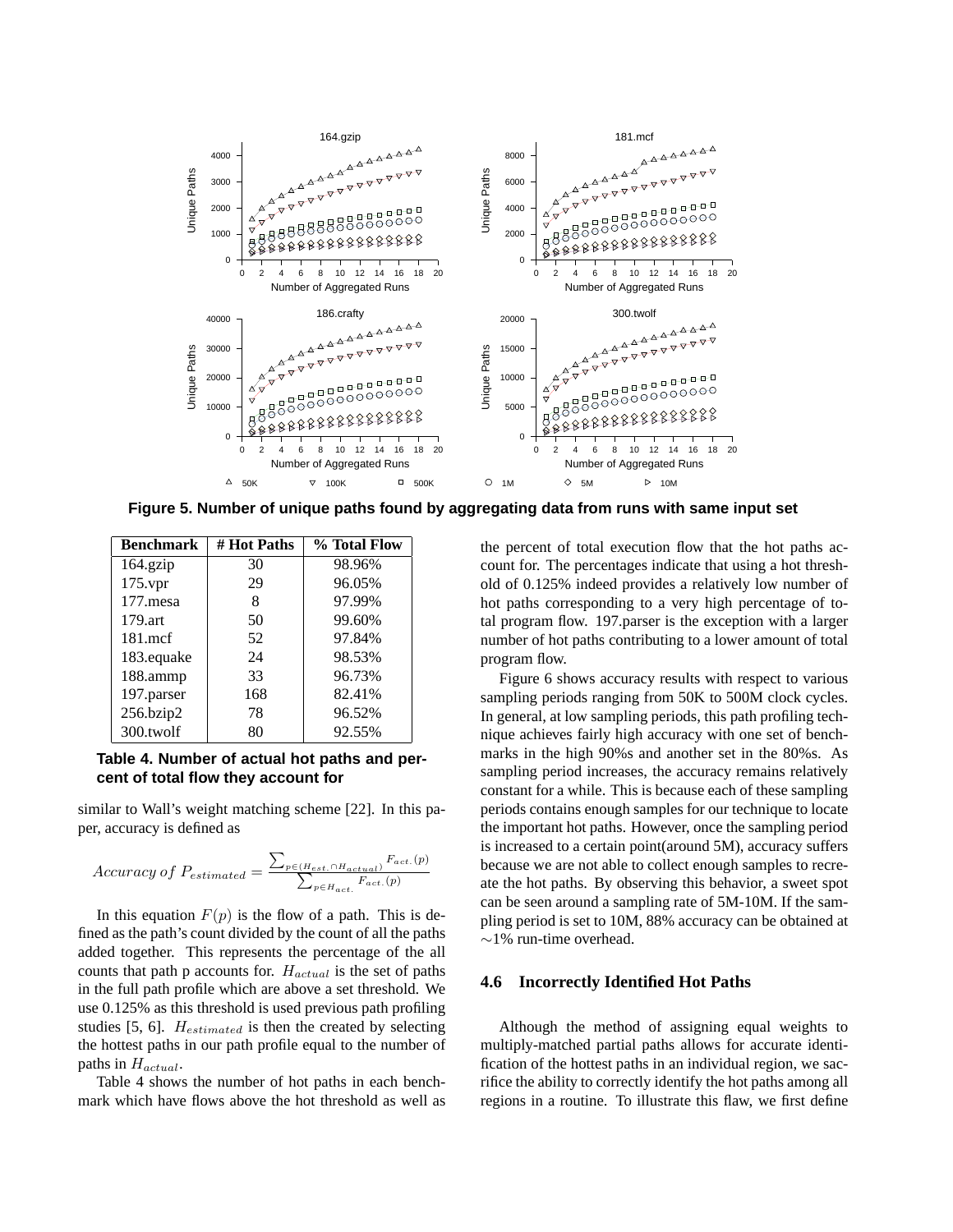

**Figure 5. Number of unique paths found by aggregating data from runs with same input set**

| <b>Benchmark</b> | # Hot Paths | % Total Flow |
|------------------|-------------|--------------|
| $164$ .gzip      | 30          | 98.96%       |
| $175$ .vpr       | 29          | 96.05%       |
| 177.mesa         | 8           | 97.99%       |
| 179.art          | 50          | 99.60%       |
| 181.mcf          | 52          | 97.84%       |
| 183.equake       | 24          | 98.53%       |
| 188.ammp         | 33          | 96.73%       |
| 197.parser       | 168         | 82.41%       |
| 256.bzip2        | 78          | 96.52%       |
| 300.twolf        | 80          | 92.55%       |

## **Table 4. Number of actual hot paths and percent of total flow they account for**

similar to Wall's weight matching scheme [22]. In this paper, accuracy is defined as

$$
Accuracy of \ P_{estimated} = \frac{\sum_{p \in (H_{est.} \cap H_{actual})} F_{act.}(p)}{\sum_{p \in H_{act.}} F_{act.}(p)}
$$

In this equation  $F(p)$  is the flow of a path. This is defined as the path's count divided by the count of all the paths added together. This represents the percentage of the all counts that path p accounts for.  $H_{actual}$  is the set of paths in the full path profile which are above a set threshold. We use 0.125% as this threshold is used previous path profiling studies [5, 6].  $H_{estimated}$  is then the created by selecting the hottest paths in our path profile equal to the number of paths in  $H_{actual}$ .

Table 4 shows the number of hot paths in each benchmark which have flows above the hot threshold as well as the percent of total execution flow that the hot paths account for. The percentages indicate that using a hot threshold of 0.125% indeed provides a relatively low number of hot paths corresponding to a very high percentage of total program flow. 197.parser is the exception with a larger number of hot paths contributing to a lower amount of total program flow.

Figure 6 shows accuracy results with respect to various sampling periods ranging from 50K to 500M clock cycles. In general, at low sampling periods, this path profiling technique achieves fairly high accuracy with one set of benchmarks in the high 90%s and another set in the 80%s. As sampling period increases, the accuracy remains relatively constant for a while. This is because each of these sampling periods contains enough samples for our technique to locate the important hot paths. However, once the sampling period is increased to a certain point(around 5M), accuracy suffers because we are not able to collect enough samples to recreate the hot paths. By observing this behavior, a sweet spot can be seen around a sampling rate of 5M-10M. If the sampling period is set to 10M, 88% accuracy can be obtained at ∼1% run-time overhead.

## **4.6 Incorrectly Identified Hot Paths**

Although the method of assigning equal weights to multiply-matched partial paths allows for accurate identification of the hottest paths in an individual region, we sacrifice the ability to correctly identify the hot paths among all regions in a routine. To illustrate this flaw, we first define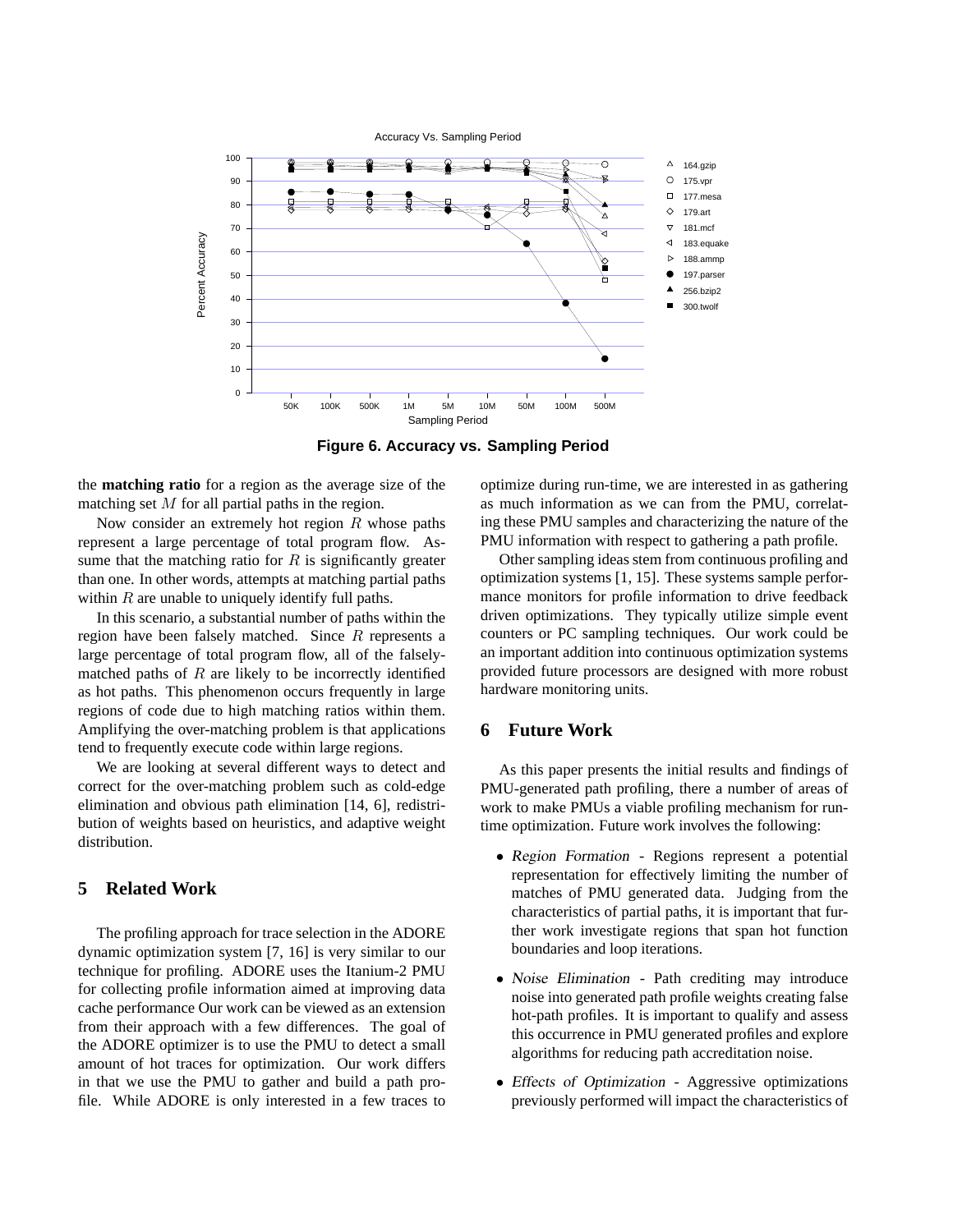

**Figure 6. Accuracy vs. Sampling Period**

the **matching ratio** for a region as the average size of the matching set  $M$  for all partial paths in the region.

Now consider an extremely hot region  $R$  whose paths represent a large percentage of total program flow. Assume that the matching ratio for  $R$  is significantly greater than one. In other words, attempts at matching partial paths within  $R$  are unable to uniquely identify full paths.

In this scenario, a substantial number of paths within the region have been falsely matched. Since R represents a large percentage of total program flow, all of the falselymatched paths of  $R$  are likely to be incorrectly identified as hot paths. This phenomenon occurs frequently in large regions of code due to high matching ratios within them. Amplifying the over-matching problem is that applications tend to frequently execute code within large regions.

We are looking at several different ways to detect and correct for the over-matching problem such as cold-edge elimination and obvious path elimination [14, 6], redistribution of weights based on heuristics, and adaptive weight distribution.

# **5 Related Work**

The profiling approach for trace selection in the ADORE dynamic optimization system [7, 16] is very similar to our technique for profiling. ADORE uses the Itanium-2 PMU for collecting profile information aimed at improving data cache performance Our work can be viewed as an extension from their approach with a few differences. The goal of the ADORE optimizer is to use the PMU to detect a small amount of hot traces for optimization. Our work differs in that we use the PMU to gather and build a path profile. While ADORE is only interested in a few traces to optimize during run-time, we are interested in as gathering as much information as we can from the PMU, correlating these PMU samples and characterizing the nature of the PMU information with respect to gathering a path profile.

Other sampling ideas stem from continuous profiling and optimization systems [1, 15]. These systems sample performance monitors for profile information to drive feedback driven optimizations. They typically utilize simple event counters or PC sampling techniques. Our work could be an important addition into continuous optimization systems provided future processors are designed with more robust hardware monitoring units.

## **6 Future Work**

As this paper presents the initial results and findings of PMU-generated path profiling, there a number of areas of work to make PMUs a viable profiling mechanism for runtime optimization. Future work involves the following:

- Region Formation Regions represent a potential representation for effectively limiting the number of matches of PMU generated data. Judging from the characteristics of partial paths, it is important that further work investigate regions that span hot function boundaries and loop iterations.
- Noise Elimination Path crediting may introduce noise into generated path profile weights creating false hot-path profiles. It is important to qualify and assess this occurrence in PMU generated profiles and explore algorithms for reducing path accreditation noise.
- Effects of Optimization Aggressive optimizations previously performed will impact the characteristics of